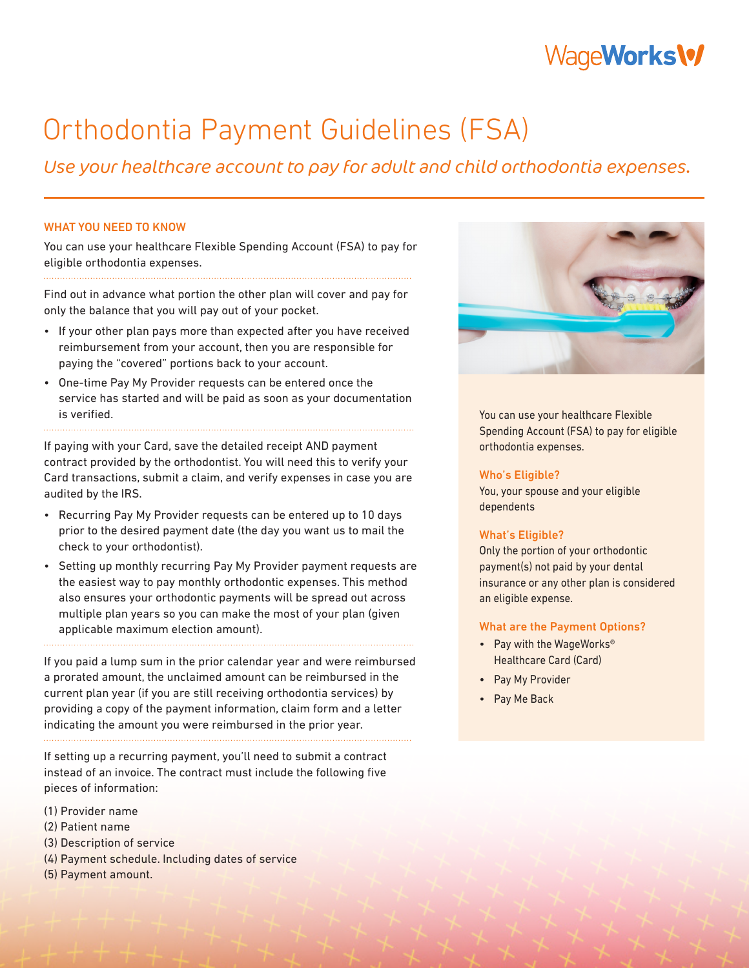# WageWorks\%

# Orthodontia Payment Guidelines (FSA)

Use your healthcare account to pay for adult and child orthodontia expenses.

# WHAT YOU NEED TO KNOW

You can use your healthcare Flexible Spending Account (FSA) to pay for eligible orthodontia expenses.

Find out in advance what portion the other plan will cover and pay for only the balance that you will pay out of your pocket.

- If your other plan pays more than expected after you have received reimbursement from your account, then you are responsible for paying the "covered" portions back to your account.
- One-time Pay My Provider requests can be entered once the service has started and will be paid as soon as your documentation is verified.

If paying with your Card, save the detailed receipt AND payment contract provided by the orthodontist. You will need this to verify your Card transactions, submit a claim, and verify expenses in case you are audited by the IRS.

- Recurring Pay My Provider requests can be entered up to 10 days prior to the desired payment date (the day you want us to mail the check to your orthodontist).
- Setting up monthly recurring Pay My Provider payment requests are the easiest way to pay monthly orthodontic expenses. This method also ensures your orthodontic payments will be spread out across multiple plan years so you can make the most of your plan (given applicable maximum election amount).

If you paid a lump sum in the prior calendar year and were reimbursed a prorated amount, the unclaimed amount can be reimbursed in the current plan year (if you are still receiving orthodontia services) by providing a copy of the payment information, claim form and a letter indicating the amount you were reimbursed in the prior year.

If setting up a recurring payment, you'll need to submit a contract instead of an invoice. The contract must include the following five pieces of information:

- (1) Provider name
- (2) Patient name
- (3) Description of service
- (4) Payment schedule. Including dates of service
- (5) Payment amount.



You can use your healthcare Flexible Spending Account (FSA) to pay for eligible orthodontia expenses.

### Who's Eligible?

You, your spouse and your eligible dependents

# What's Eligible?

Only the portion of your orthodontic payment(s) not paid by your dental insurance or any other plan is considered an eligible expense.

### What are the Payment Options?

- Pay with the WageWorks® Healthcare Card (Card)
- Pay My Provider
- Pay Me Back